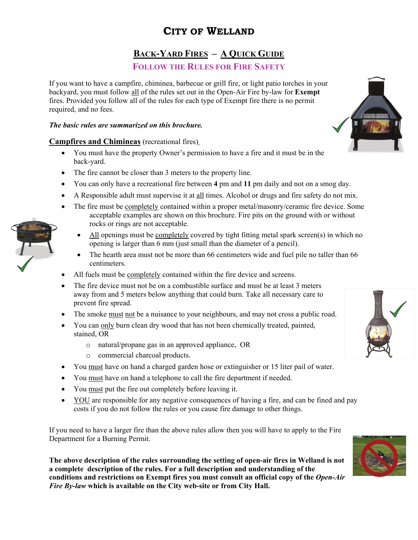# **CITY OF WELLAND**

# **BACK-YARD FIRES – A QUICK GUIDE**

## **FOLLOW THE RULES FOR FIRE SAFETY**

If you want to have a campfire, chiminea, barbecue or grill fire, or light patio torches in your backyard, you must follow all of the rules set out in the Open-Air Fire by-law for **Exempt** fires. Provided you follow all of the rules for each type of Exempt fire there is no permit required, and no fees.

#### *The basic rules are summarized on this brochure.*

### **Campfires and Chimineas** (recreational fires)

- You must have the property Owner's permission to have a fire and it must be in the back-yard.
- The fire cannot be closer than 3 meters to the property line.
- You can only have a recreational fire between **4** pm and **11** pm daily and not on a smog day.
- A Responsible adult must supervise it at all times. Alcohol or drugs and fire safety do not mix.
- The fire must be completely contained within a proper metal/masonry/ceramic fire device. Some acceptable examples are shown on this brochure. Fire pits on the ground with or without rocks or rings are not acceptable.
	- All openings must be completely covered by tight fitting metal spark screen(s) in which no opening is larger than 6 mm (just small than the diameter of a pencil).
	- The hearth area must not be more than 66 centimeters wide and fuel pile no taller than 66 centimeters.
- All fuels must be completely contained within the fire device and screens.
- The fire device must not be on a combustible surface and must be at least 3 meters away from and 5 meters below anything that could burn. Take all necessary care to prevent fire spread.
- The smoke must not be a nuisance to your neighbours, and may not cross a public road.
- You can only burn clean dry wood that has not been chemically treated, painted, stained, OR
	- o natural/propane gas in an approved appliance, OR
	- o commercial charcoal products.
- You must have on hand a charged garden hose or extinguisher or 15 liter pail of water.
- You must have on hand a telephone to call the fire department if needed.
- You must put the fire out completely before leaving it.
- YOU are responsible for any negative consequences of having a fire, and can be fined and pay costs if you do not follow the rules or you cause fire damage to other things.

If you need to have a larger fire than the above rules allow then you will have to apply to the Fire Department for a Burning Permit.

**The above description of the rules surrounding the setting of open-air fires in Welland is not a complete description of the rules. For a full description and understanding of the conditions and restrictions on Exempt fires you must consult an official copy of the** *Open-Air Fire By-law* **which is available on the City web-site or from City Hall.**